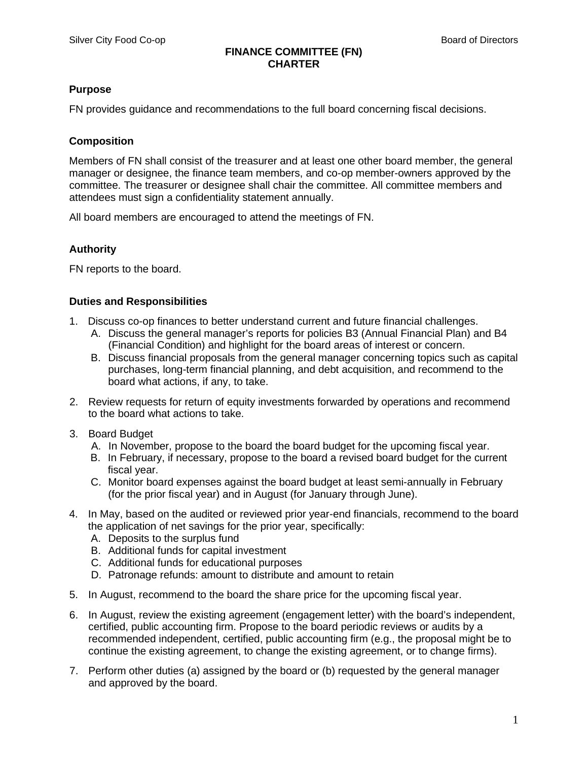#### **FINANCE COMMITTEE (FN) CHARTER**

# **Purpose**

FN provides guidance and recommendations to the full board concerning fiscal decisions.

## **Composition**

Members of FN shall consist of the treasurer and at least one other board member, the general manager or designee, the finance team members, and co-op member-owners approved by the committee. The treasurer or designee shall chair the committee. All committee members and attendees must sign a confidentiality statement annually.

All board members are encouraged to attend the meetings of FN.

## **Authority**

FN reports to the board.

# **Duties and Responsibilities**

- 1. Discuss co-op finances to better understand current and future financial challenges.
	- A. Discuss the general manager's reports for policies B3 (Annual Financial Plan) and B4 (Financial Condition) and highlight for the board areas of interest or concern.
	- B. Discuss financial proposals from the general manager concerning topics such as capital purchases, long-term financial planning, and debt acquisition, and recommend to the board what actions, if any, to take.
- 2. Review requests for return of equity investments forwarded by operations and recommend to the board what actions to take.
- 3. Board Budget
	- A. In November, propose to the board the board budget for the upcoming fiscal year.
	- B. In February, if necessary, propose to the board a revised board budget for the current fiscal year.
	- C. Monitor board expenses against the board budget at least semi-annually in February (for the prior fiscal year) and in August (for January through June).
- 4. In May, based on the audited or reviewed prior year-end financials, recommend to the board the application of net savings for the prior year, specifically:
	- A. Deposits to the surplus fund
	- B. Additional funds for capital investment
	- C. Additional funds for educational purposes
	- D. Patronage refunds: amount to distribute and amount to retain
- 5. In August, recommend to the board the share price for the upcoming fiscal year.
- 6. In August, review the existing agreement (engagement letter) with the board's independent, certified, public accounting firm. Propose to the board periodic reviews or audits by a recommended independent, certified, public accounting firm (e.g., the proposal might be to continue the existing agreement, to change the existing agreement, or to change firms).
- 7. Perform other duties (a) assigned by the board or (b) requested by the general manager and approved by the board.